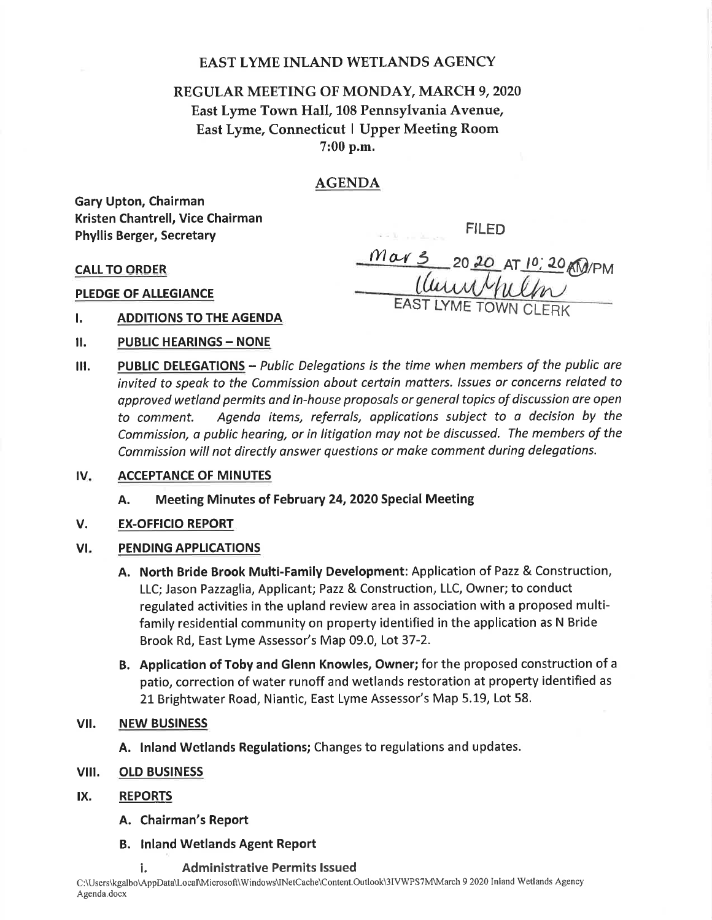# EAST LYME INLAND WETLANDS AGENCY

# REGULAR MEETING OF MONDAY, MARCH 9, 2020 East Lyme Town Hall, 108 Pennsylvania Avenue, East Lyme, Connecticut I Upper Meeting Room 7:00 p.m.

# AGENDA

Gary Upton, Chairman Kristen Chantrell, Vice Chairman Phyllis Berger, Secretary

FILED

CALLTO ORDER

PLEDGE OF ALLEGIANCE

Mar 3 20 20 AT 10, 20 AM/PM EAST LYME TOWN CLERK

- I. ADDITIONS TO THE AGENDA
- **II. PUBLIC HEARINGS NONE**
- III. PUBLIC DELEGATIONS Public Delegations is the time when members of the public are invited to speok to the Commission obout certoin matters. /ssues or concerns related to approved wetland permits and in-house proposals or general topics of discussion are open to comment. Agendo items, referrals, applicotions subject to a decision by the Commission, a public hearing, or in litigotion moy not be discussed. The members of the Commission will not directly onswer questions or make comment during delegations.
- $IV.$ ACCEPTANCE OF MINUTES
	- A. Meeting Minutes of February 24,2020 Special Meeting
- V. EX.OFFICIO REPORT

#### VI PENDING APPLICATIONS

- A. North Bride Brook Multi-Family Development: Application of Pazz & Construction, LLC; Jason Pazzaglia, Applicant; Pazz & Construction, LLC, Owner; to conduct regulated activities in the upland review area in association with a proposed multifamily residential community on property identified in the application as N Bride Brook Rd, East Lyme Assessor's Map 09.0, Lot 37-2.
- B. Application of Toby and Glenn Knowles, Owner; for the proposed construction of <sup>a</sup> patio, correction of water runoff and wetlands restoration at property identified as 21 Brightwater Road, Niantic, East Lyme Assessor's Map 5.19, Lot 58.

### vil. NEW BUSINESS

- A. lnland Wetlands Regulations; Changes to regulations and updates.
- vill. OLD BUSINESS
- lx. REPORTS
	- A. Chairman's Report
	- B. lnland Wetlands Agent Report
		- i. Administrative Permits lssued